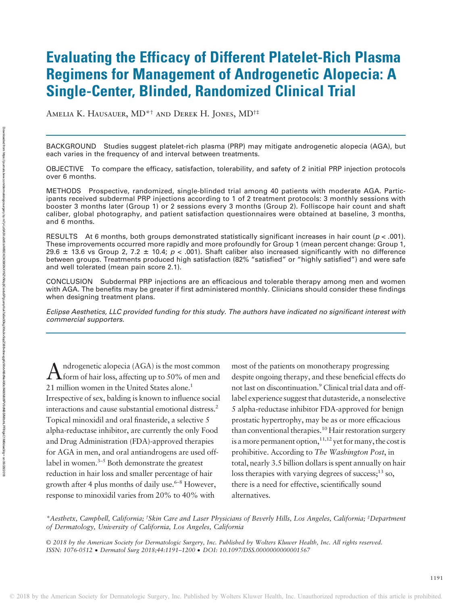# Evaluating the Efficacy of Different Platelet-Rich Plasma Regimens for Management of Androgenetic Alopecia: A Single-Center, Blinded, Randomized Clinical Trial

Amelia K. Hausauer, MD\*† and Derek H. Jones, MD†‡

BACKGROUND Studies suggest platelet-rich plasma (PRP) may mitigate androgenetic alopecia (AGA), but each varies in the frequency of and interval between treatments.

OBJECTIVE To compare the efficacy, satisfaction, tolerability, and safety of 2 initial PRP injection protocols over 6 months.

METHODS Prospective, randomized, single-blinded trial among 40 patients with moderate AGA. Participants received subdermal PRP injections according to 1 of 2 treatment protocols: 3 monthly sessions with booster 3 months later (Group 1) or 2 sessions every 3 months (Group 2). Folliscope hair count and shaft caliber, global photography, and patient satisfaction questionnaires were obtained at baseline, 3 months, and 6 months.

RESULTS At 6 months, both groups demonstrated statistically significant increases in hair count ( $p < .001$ ). These improvements occurred more rapidly and more profoundly for Group 1 (mean percent change: Group 1, 29.6  $\pm$  13.6 vs Group 2, 7.2  $\pm$  10.4; p < .001). Shaft caliber also increased significantly with no difference between groups. Treatments produced high satisfaction (82% "satisfied" or "highly satisfied") and were safe and well tolerated (mean pain score 2.1).

CONCLUSION Subdermal PRP injections are an efficacious and tolerable therapy among men and women with AGA. The benefits may be greater if first administered monthly. Clinicians should consider these findings when designing treatment plans.

Eclipse Aesthetics, LLC provided funding for this study. The authors have indicated no significant interest with commercial supporters.

 $A$  ndrogenetic alopecia (AGA) is the most common  $A$  form of hair loss, affecting up to 50% of men and 21 million women in the United States alone.<sup>1</sup> Irrespective of sex, balding is known to influence social interactions and cause substantial emotional distress.2 Topical minoxidil and oral finasteride, a selective 5 alpha-reductase inhibitor, are currently the only Food and Drug Administration (FDA)-approved therapies for AGA in men, and oral antiandrogens are used offlabel in women.<sup>3-5</sup> Both demonstrate the greatest reduction in hair loss and smaller percentage of hair growth after 4 plus months of daily use.<sup> $6-8$ </sup> However, response to minoxidil varies from 20% to 40% with

most of the patients on monotherapy progressing despite ongoing therapy, and these beneficial effects do not last on discontinuation.<sup>9</sup> Clinical trial data and offlabel experience suggest that dutasteride, a nonselective 5 alpha-reductase inhibitor FDA-approved for benign prostatic hypertrophy, may be as or more efficacious than conventional therapies.<sup>10</sup> Hair restoration surgery is a more permanent option,  $1^{1,12}$  yet for many, the cost is prohibitive. According to The Washington Post, in total, nearly 3.5 billion dollars is spent annually on hair loss therapies with varying degrees of success; $^{13}$  so, there is a need for effective, scientifically sound alternatives.

\*Aesthetx, Campbell, California; † Skin Care and Laser Physicians of Beverly Hills, Los Angeles, California; ‡ Department of Dermatology, University of California, Los Angeles, California

© 2018 by the American Society for Dermatologic Surgery, Inc. Published by Wolters Kluwer Health, Inc. All rights reserved. ISSN: 1076-0512 · Dermatol Surg 2018;44:1191–<sup>1200</sup> · DOI: 10.1097/DSS.0000000000001567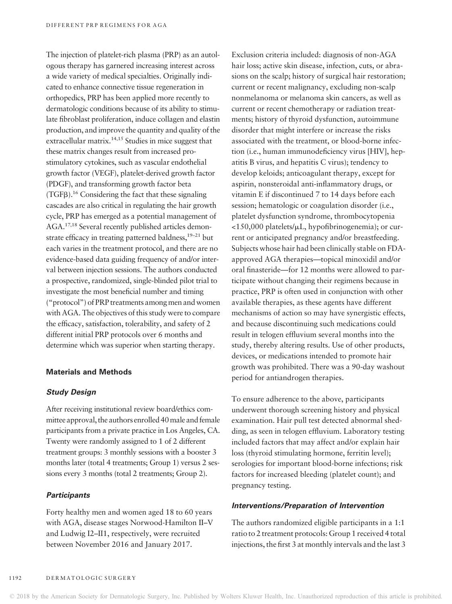The injection of platelet-rich plasma (PRP) as an autologous therapy has garnered increasing interest across a wide variety of medical specialties. Originally indicated to enhance connective tissue regeneration in orthopedics, PRP has been applied more recently to dermatologic conditions because of its ability to stimulate fibroblast proliferation, induce collagen and elastin production, and improve the quantity and quality of the extracellular matrix.<sup>14,15</sup> Studies in mice suggest that these matrix changes result from increased prostimulatory cytokines, such as vascular endothelial growth factor (VEGF), platelet-derived growth factor (PDGF), and transforming growth factor beta  $(TGFB)<sup>16</sup>$  Considering the fact that these signaling cascades are also critical in regulating the hair growth cycle, PRP has emerged as a potential management of AGA.17,18 Several recently published articles demonstrate efficacy in treating patterned baldness,<sup>19–21</sup> but each varies in the treatment protocol, and there are no evidence-based data guiding frequency of and/or interval between injection sessions. The authors conducted a prospective, randomized, single-blinded pilot trial to investigate the most beneficial number and timing ("protocol") of PRP treatments among men and women with AGA. The objectives of this study were to compare the efficacy, satisfaction, tolerability, and safety of 2 different initial PRP protocols over 6 months and determine which was superior when starting therapy.

## Materials and Methods

#### Study Design

After receiving institutional review board/ethics committee approval, the authors enrolled 40male and female participants from a private practice in Los Angeles, CA. Twenty were randomly assigned to 1 of 2 different treatment groups: 3 monthly sessions with a booster 3 months later (total 4 treatments; Group 1) versus 2 sessions every 3 months (total 2 treatments; Group 2).

# **Participants**

Forty healthy men and women aged 18 to 60 years with AGA, disease stages Norwood-Hamilton II–V and Ludwig I2–II1, respectively, were recruited between November 2016 and January 2017.

Exclusion criteria included: diagnosis of non-AGA hair loss; active skin disease, infection, cuts, or abrasions on the scalp; history of surgical hair restoration; current or recent malignancy, excluding non-scalp nonmelanoma or melanoma skin cancers, as well as current or recent chemotherapy or radiation treatments; history of thyroid dysfunction, autoimmune disorder that might interfere or increase the risks associated with the treatment, or blood-borne infection (i.e., human immunodeficiency virus [HIV], hepatitis B virus, and hepatitis C virus); tendency to develop keloids; anticoagulant therapy, except for aspirin, nonsteroidal anti-inflammatory drugs, or vitamin E if discontinued 7 to 14 days before each session; hematologic or coagulation disorder (i.e., platelet dysfunction syndrome, thrombocytopenia  $<$ 150,000 platelets/ $\mu$ L, hypofibrinogenemia); or current or anticipated pregnancy and/or breastfeeding. Subjects whose hair had been clinically stable on FDAapproved AGA therapies—topical minoxidil and/or oral finasteride—for 12 months were allowed to participate without changing their regimens because in practice, PRP is often used in conjunction with other available therapies, as these agents have different mechanisms of action so may have synergistic effects, and because discontinuing such medications could result in telogen effluvium several months into the study, thereby altering results. Use of other products, devices, or medications intended to promote hair growth was prohibited. There was a 90-day washout period for antiandrogen therapies.

To ensure adherence to the above, participants underwent thorough screening history and physical examination. Hair pull test detected abnormal shedding, as seen in telogen effluvium. Laboratory testing included factors that may affect and/or explain hair loss (thyroid stimulating hormone, ferritin level); serologies for important blood-borne infections; risk factors for increased bleeding (platelet count); and pregnancy testing.

# Interventions/Preparation of Intervention

The authors randomized eligible participants in a 1:1 ratio to 2 treatment protocols: Group 1 received 4 total injections, the first 3 at monthly intervals and the last 3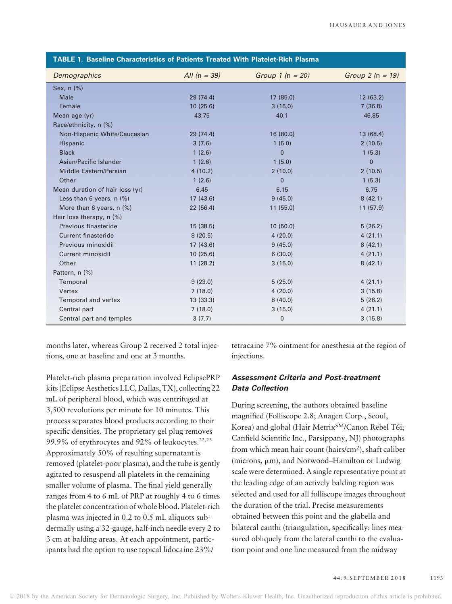| TABLE 1. Baseline Characteristics of Patients Treated With Platelet-Rich Plasma |                |                      |                   |  |  |  |
|---------------------------------------------------------------------------------|----------------|----------------------|-------------------|--|--|--|
| Demographics                                                                    | All $(n = 39)$ | Group 1 ( $n = 20$ ) | Group $2(n = 19)$ |  |  |  |
| Sex, n (%)                                                                      |                |                      |                   |  |  |  |
| Male                                                                            | 29(74.4)       | 17 (85.0)            | 12(63.2)          |  |  |  |
| Female                                                                          | 10(25.6)       | 3(15.0)              | 7(36.8)           |  |  |  |
| Mean age (yr)                                                                   | 43.75          | 40.1                 | 46.85             |  |  |  |
| Race/ethnicity, n (%)                                                           |                |                      |                   |  |  |  |
| Non-Hispanic White/Caucasian                                                    | 29(74.4)       | 16(80.0)             | 13(68.4)          |  |  |  |
| Hispanic                                                                        | 3(7.6)         | 1(5.0)               | 2(10.5)           |  |  |  |
| <b>Black</b>                                                                    | 1(2.6)         | $\Omega$             | 1(5.3)            |  |  |  |
| Asian/Pacific Islander                                                          | 1(2.6)         | 1(5.0)               | $\Omega$          |  |  |  |
| Middle Eastern/Persian                                                          | 4(10.2)        | 2(10.0)              | 2(10.5)           |  |  |  |
| Other                                                                           | 1(2.6)         | $\Omega$             | 1(5.3)            |  |  |  |
| Mean duration of hair loss (yr)                                                 | 6.45           | 6.15                 | 6.75              |  |  |  |
| Less than 6 years, $n$ (%)                                                      | 17(43.6)       | 9(45.0)              | 8(42.1)           |  |  |  |
| More than 6 years, $n$ (%)                                                      | 22(56.4)       | 11(55.0)             | 11(57.9)          |  |  |  |
| Hair loss therapy, $n$ (%)                                                      |                |                      |                   |  |  |  |
| Previous finasteride                                                            | 15(38.5)       | 10(50.0)             | 5(26.2)           |  |  |  |
| <b>Current finasteride</b>                                                      | 8(20.5)        | 4(20.0)              | 4(21.1)           |  |  |  |
| Previous minoxidil                                                              | 17(43.6)       | 9(45.0)              | 8(42.1)           |  |  |  |
| Current minoxidil                                                               | 10(25.6)       | 6(30.0)              | 4(21.1)           |  |  |  |
| Other                                                                           | 11(28.2)       | 3(15.0)              | 8(42.1)           |  |  |  |
| Pattern, n (%)                                                                  |                |                      |                   |  |  |  |
| Temporal                                                                        | 9(23.0)        | 5(25.0)              | 4(21.1)           |  |  |  |
| Vertex                                                                          | 7(18.0)        | 4(20.0)              | 3(15.8)           |  |  |  |
| Temporal and vertex                                                             | 13(33.3)       | 8(40.0)              | 5(26.2)           |  |  |  |
| Central part                                                                    | 7(18.0)        | 3(15.0)              | 4(21.1)           |  |  |  |
| Central part and temples                                                        | 3(7.7)         | $\mathbf 0$          | 3(15.8)           |  |  |  |

months later, whereas Group 2 received 2 total injections, one at baseline and one at 3 months.

Platelet-rich plasma preparation involved EclipsePRP kits (Eclipse Aesthetics LLC, Dallas, TX), collecting 22 mL of peripheral blood, which was centrifuged at 3,500 revolutions per minute for 10 minutes. This process separates blood products according to their specific densities. The proprietary gel plug removes 99.9% of erythrocytes and 92% of leukocytes. $22,23$ Approximately 50% of resulting supernatant is removed (platelet-poor plasma), and the tube is gently agitated to resuspend all platelets in the remaining smaller volume of plasma. The final yield generally ranges from 4 to 6 mL of PRP at roughly 4 to 6 times the platelet concentration of whole blood. Platelet-rich plasma was injected in 0.2 to 0.5 mL aliquots subdermally using a 32-gauge, half-inch needle every 2 to 3 cm at balding areas. At each appointment, participants had the option to use topical lidocaine 23%/

tetracaine 7% ointment for anesthesia at the region of injections.

# Assessment Criteria and Post-treatment Data Collection

During screening, the authors obtained baseline magnified (Folliscope 2.8; Anagen Corp., Seoul, Korea) and global (Hair Metrix<sup>SM</sup>/Canon Rebel T6i; Canfield Scientific Inc., Parsippany, NJ) photographs from which mean hair count (hairs/cm2), shaft caliber (microns,  $\mu$ m), and Norwood–Hamilton or Ludwig scale were determined. A single representative point at the leading edge of an actively balding region was selected and used for all folliscope images throughout the duration of the trial. Precise measurements obtained between this point and the glabella and bilateral canthi (triangulation, specifically: lines measured obliquely from the lateral canthi to the evaluation point and one line measured from the midway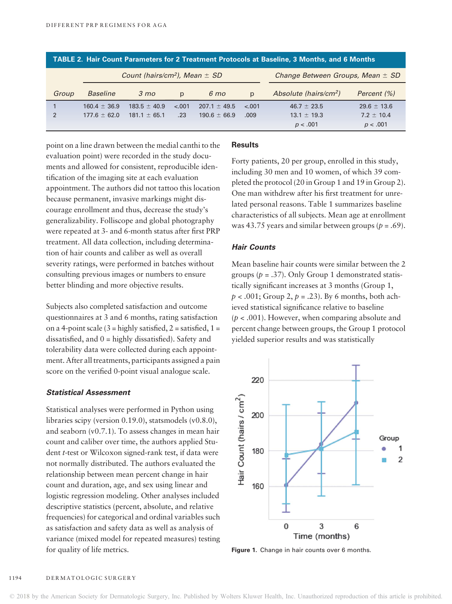| TABLE 2. Hair Count Parameters for 2 Treatment Protocols at Baseline, 3 Months, and 6 Months |                  |                  |         |                  |                                      |                          |                 |
|----------------------------------------------------------------------------------------------|------------------|------------------|---------|------------------|--------------------------------------|--------------------------|-----------------|
| Count (hairs/cm <sup>2</sup> ), Mean $\pm$ SD                                                |                  |                  |         |                  | Change Between Groups, Mean $\pm$ SD |                          |                 |
| Group                                                                                        | <b>Baseline</b>  | $3 \, \text{mo}$ | p       | 6 <sub>mo</sub>  | $\mathsf{D}$                         | Absolute (hairs/ $cm2$ ) | Percent (%)     |
|                                                                                              | $160.4 \pm 36.9$ | $183.5 \pm 40.9$ | $-.001$ | $207.1 + 49.5$   | $-.001$                              | $46.7 \pm 23.5$          | $29.6 \pm 13.6$ |
| $\mathfrak{p}$                                                                               | $177.6 \pm 62.0$ | $181.1 + 65.1$   | .23     | $190.6 \pm 66.9$ | .009                                 | $13.1 \pm 19.3$          | $7.2 + 10.4$    |
|                                                                                              |                  |                  |         |                  |                                      | p < .001                 | p < .001        |

point on a line drawn between the medial canthi to the evaluation point) were recorded in the study documents and allowed for consistent, reproducible identification of the imaging site at each evaluation appointment. The authors did not tattoo this location because permanent, invasive markings might discourage enrollment and thus, decrease the study's generalizability. Folliscope and global photography were repeated at 3- and 6-month status after first PRP treatment. All data collection, including determination of hair counts and caliber as well as overall severity ratings, were performed in batches without consulting previous images or numbers to ensure better blinding and more objective results.

Subjects also completed satisfaction and outcome questionnaires at 3 and 6 months, rating satisfaction on a 4-point scale  $(3 =$ highly satisfied,  $2 =$  satisfied,  $1 =$ dissatisfied, and 0 = highly dissatisfied). Safety and tolerability data were collected during each appointment. After all treatments, participants assigned a pain score on the verified 0-point visual analogue scale.

# Statistical Assessment

Statistical analyses were performed in Python using libraries scipy (version 0.19.0), statsmodels (v0.8.0), and seaborn (v0.7.1). To assess changes in mean hair count and caliber over time, the authors applied Student t-test or Wilcoxon signed-rank test, if data were not normally distributed. The authors evaluated the relationship between mean percent change in hair count and duration, age, and sex using linear and logistic regression modeling. Other analyses included descriptive statistics (percent, absolute, and relative frequencies) for categorical and ordinal variables such as satisfaction and safety data as well as analysis of variance (mixed model for repeated measures) testing for quality of life metrics.

### **Results**

Forty patients, 20 per group, enrolled in this study, including 30 men and 10 women, of which 39 completed the protocol (20 in Group 1 and 19 in Group 2). One man withdrew after his first treatment for unrelated personal reasons. Table 1 summarizes baseline characteristics of all subjects. Mean age at enrollment was 43.75 years and similar between groups ( $p = .69$ ).

## Hair Counts

Mean baseline hair counts were similar between the 2 groups ( $p = .37$ ). Only Group 1 demonstrated statistically significant increases at 3 months (Group 1,  $p < .001$ ; Group 2,  $p = .23$ ). By 6 months, both achieved statistical significance relative to baseline  $(p < .001)$ . However, when comparing absolute and percent change between groups, the Group 1 protocol yielded superior results and was statistically



Figure 1. Change in hair counts over 6 months.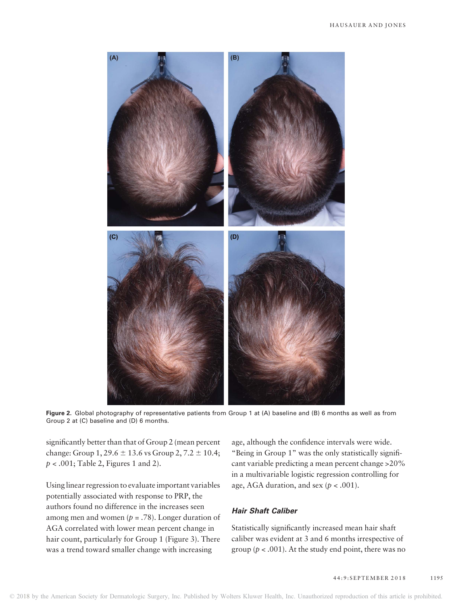

Figure 2. Global photography of representative patients from Group 1 at (A) baseline and (B) 6 months as well as from Group 2 at (C) baseline and (D) 6 months.

significantly better than that of Group 2 (mean percent change: Group  $1, 29.6 \pm 13.6$  vs Group  $2, 7.2 \pm 10.4$ ;  $p < .001$ ; Table 2, Figures 1 and 2).

Using linear regression to evaluate important variables potentially associated with response to PRP, the authors found no difference in the increases seen among men and women ( $p = .78$ ). Longer duration of AGA correlated with lower mean percent change in hair count, particularly for Group 1 (Figure 3). There was a trend toward smaller change with increasing

age, although the confidence intervals were wide. "Being in Group 1" was the only statistically significant variable predicting a mean percent change >20% in a multivariable logistic regression controlling for age, AGA duration, and sex  $(p < .001)$ .

# Hair Shaft Caliber

Statistically significantly increased mean hair shaft caliber was evident at 3 and 6 months irrespective of group ( $p < .001$ ). At the study end point, there was no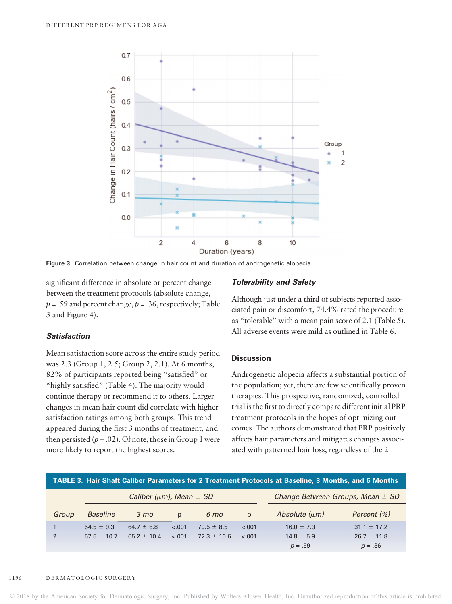

Figure 3. Correlation between change in hair count and duration of androgenetic alopecia.

significant difference in absolute or percent change between the treatment protocols (absolute change,  $p = .59$  and percent change,  $p = .36$ , respectively; Table 3 and Figure 4).

# Tolerability and Safety

Although just under a third of subjects reported associated pain or discomfort, 74.4% rated the procedure as "tolerable" with a mean pain score of 2.1 (Table 5). All adverse events were mild as outlined in Table 6.

# Satisfaction

Mean satisfaction score across the entire study period was 2.3 (Group 1, 2.5; Group 2, 2.1). At 6 months, 82% of participants reported being "satisfied" or "highly satisfied" (Table 4). The majority would continue therapy or recommend it to others. Larger changes in mean hair count did correlate with higher satisfaction ratings among both groups. This trend appeared during the first 3 months of treatment, and then persisted ( $p = .02$ ). Of note, those in Group 1 were more likely to report the highest scores.

### **Discussion**

Androgenetic alopecia affects a substantial portion of the population; yet, there are few scientifically proven therapies. This prospective, randomized, controlled trial is the first to directly compare different initial PRP treatment protocols in the hopes of optimizing outcomes. The authors demonstrated that PRP positively affects hair parameters and mitigates changes associated with patterned hair loss, regardless of the 2

| TABLE 3. Hair Shaft Caliber Parameters for 2 Treatment Protocols at Baseline, 3 Months, and 6 Months |                 |                  |              |                 |                                      |                    |                 |
|------------------------------------------------------------------------------------------------------|-----------------|------------------|--------------|-----------------|--------------------------------------|--------------------|-----------------|
| Caliber ( $\mu$ m), Mean $\pm$ SD                                                                    |                 |                  |              |                 | Change Between Groups, Mean $\pm$ SD |                    |                 |
| Group                                                                                                | <b>Baseline</b> | $3 \, \text{mo}$ | $\mathsf{D}$ | $6 \text{ mo}$  | $\mathsf{D}$                         | Absolute $(\mu m)$ | Percent (%)     |
|                                                                                                      | $54.5 \pm 9.3$  | $64.7 \pm 6.8$   | $-.001$      | $70.5 \pm 8.5$  | $-.001$                              | $16.0 \pm 7.3$     | $31.1 \pm 17.2$ |
| 2                                                                                                    | $57.5 \pm 10.7$ | $65.2 \pm 10.4$  | $-.001$      | $72.3 \pm 10.6$ | $-.001$                              | $14.8 \pm 5.9$     | $26.7 \pm 11.8$ |
|                                                                                                      |                 |                  |              |                 |                                      | $p = .59$          | $p = .36$       |

#### 1196 DERMATOLOGIC SURGERY

© 2018 by the American Society for Dermatologic Surgery, Inc. Published by Wolters Kluwer Health, Inc. Unauthorized reproduction of this article is prohibited.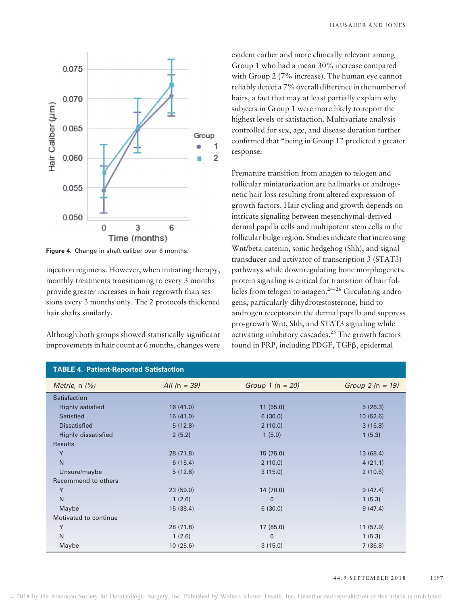

Figure 4. Change in shaft caliber over 6 months.

injection regimens. However, when initiating therapy, monthly treatments transitioning to every 3 months provide greater increases in hair regrowth than sessions every 3 months only. The 2 protocols thickened hair shafts similarly.

Although both groups showed statistically significant improvements in hair count at 6 months, changes were evident earlier and more clinically relevant among Group 1 who had a mean 30% increase compared with Group 2 (7% increase). The human eye cannot reliably detect a 7% overall difference in the number of hairs, a fact that may at least partially explain why subjects in Group 1 were more likely to report the highest levels of satisfaction. Multivariate analysis controlled for sex, age, and disease duration further confirmed that "being in Group 1" predicted a greater response.

Premature transition from anagen to telogen and follicular miniaturization are hallmarks of androgenetic hair loss resulting from altered expression of growth factors. Hair cycling and growth depends on intricate signaling between mesenchymal-derived dermal papilla cells and multipotent stem cells in the follicular bulge region. Studies indicate that increasing Wnt/beta-catenin, sonic hedgehog (Shh), and signal transducer and activator of transcription 3 (STAT3) pathways while downregulating bone morphogenetic protein signaling is critical for transition of hair follicles from telogen to anagen. $24-26$  Circulating androgens, particularly dihydrotestosterone, bind to androgen receptors in the dermal papilla and suppress pro-growth Wnt, Shh, and STAT3 signaling while activating inhibitory cascades.<sup>25</sup> The growth factors found in PRP, including PDGF, TGFB, epidermal

| <b>TABLE 4. Patient-Reported Satisfaction</b> |                |                    |                   |  |  |  |
|-----------------------------------------------|----------------|--------------------|-------------------|--|--|--|
| Metric, $n$ $(\%)$                            | All $(n = 39)$ | Group $1 (n = 20)$ | Group $2(n = 19)$ |  |  |  |
| Satisfaction                                  |                |                    |                   |  |  |  |
| <b>Highly satisfied</b>                       | 16(41.0)       | 11(55.0)           | 5(26.3)           |  |  |  |
| <b>Satisfied</b>                              | 16(41.0)       | 6(30.0)            | 10(52.6)          |  |  |  |
| <b>Dissatisfied</b>                           | 5(12.8)        | 2(10.0)            | 3(15.8)           |  |  |  |
| <b>Highly dissatisfied</b>                    | 2(5.2)         | 1(5.0)             | 1(5.3)            |  |  |  |
| <b>Results</b>                                |                |                    |                   |  |  |  |
| Y                                             | 28(71.8)       | 15(75.0)           | 13(68.4)          |  |  |  |
| N                                             | 6(15.4)        | 2(10.0)            | 4(21.1)           |  |  |  |
| Unsure/maybe                                  | 5(12.8)        | 3(15.0)            | 2(10.5)           |  |  |  |
| Recommend to others                           |                |                    |                   |  |  |  |
| Y                                             | 23(59.0)       | 14 (70.0)          | 9(47.4)           |  |  |  |
| N                                             | 1(2.6)         | $\Omega$           | 1(5.3)            |  |  |  |
| Maybe                                         | 15(38.4)       | 6(30.0)            | 9(47.4)           |  |  |  |
| Motivated to continue                         |                |                    |                   |  |  |  |
| Y                                             | 28 (71.8)      | 17(85.0)           | 11(57.9)          |  |  |  |
| N                                             | 1(2.6)         | $\Omega$           | 1(5.3)            |  |  |  |
| Maybe                                         | 10(25.6)       | 3(15.0)            | 7(36.8)           |  |  |  |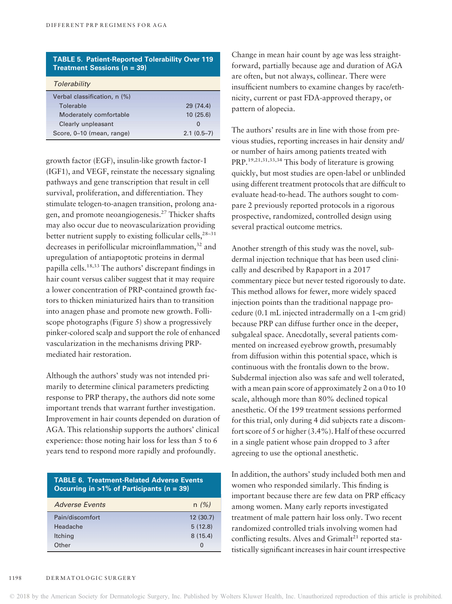## TABLE 5. Patient-Reported Tolerability Over 119 Treatment Sessions (n = 39)

| Tolerability                 |              |
|------------------------------|--------------|
| Verbal classification, n (%) |              |
| Tolerable                    | 29(74.4)     |
| Moderately comfortable       | 10(25.6)     |
| Clearly unpleasant           | $\Omega$     |
| Score, 0-10 (mean, range)    | $2.1(0.5-7)$ |

growth factor (EGF), insulin-like growth factor-1 (IGF1), and VEGF, reinstate the necessary signaling pathways and gene transcription that result in cell survival, proliferation, and differentiation. They stimulate telogen-to-anagen transition, prolong anagen, and promote neoangiogenesis.<sup>27</sup> Thicker shafts may also occur due to neovascularization providing better nutrient supply to existing follicular cells, $28-31$ decreases in perifollicular microinflammation,<sup>32</sup> and upregulation of antiapoptotic proteins in dermal papilla cells.18,33 The authors' discrepant findings in hair count versus caliber suggest that it may require a lower concentration of PRP-contained growth factors to thicken miniaturized hairs than to transition into anagen phase and promote new growth. Folliscope photographs (Figure 5) show a progressively pinker-colored scalp and support the role of enhanced vascularization in the mechanisms driving PRPmediated hair restoration.

Although the authors' study was not intended primarily to determine clinical parameters predicting response to PRP therapy, the authors did note some important trends that warrant further investigation. Improvement in hair counts depended on duration of AGA. This relationship supports the authors' clinical experience: those noting hair loss for less than 5 to 6 years tend to respond more rapidly and profoundly.

| <b>TABLE 6. Treatment-Related Adverse Events</b><br>Occurring in $>1\%$ of Participants (n = 39) |          |  |  |  |
|--------------------------------------------------------------------------------------------------|----------|--|--|--|
| <b>Adverse Events</b>                                                                            | n(%)     |  |  |  |
| Pain/discomfort                                                                                  | 12(30.7) |  |  |  |
| Headache                                                                                         | 5(12.8)  |  |  |  |
| Itching                                                                                          | 8(15.4)  |  |  |  |
| Other                                                                                            | O        |  |  |  |
|                                                                                                  |          |  |  |  |

Change in mean hair count by age was less straightforward, partially because age and duration of AGA are often, but not always, collinear. There were insufficient numbers to examine changes by race/ethnicity, current or past FDA-approved therapy, or pattern of alopecia.

The authors' results are in line with those from previous studies, reporting increases in hair density and/ or number of hairs among patients treated with PRP.<sup>19,21,31,33,34</sup> This body of literature is growing quickly, but most studies are open-label or unblinded using different treatment protocols that are difficult to evaluate head-to-head. The authors sought to compare 2 previously reported protocols in a rigorous prospective, randomized, controlled design using several practical outcome metrics.

Another strength of this study was the novel, subdermal injection technique that has been used clinically and described by Rapaport in a 2017 commentary piece but never tested rigorously to date. This method allows for fewer, more widely spaced injection points than the traditional nappage procedure (0.1 mL injected intradermally on a 1-cm grid) because PRP can diffuse further once in the deeper, subgaleal space. Anecdotally, several patients commented on increased eyebrow growth, presumably from diffusion within this potential space, which is continuous with the frontalis down to the brow. Subdermal injection also was safe and well tolerated, with a mean pain score of approximately 2 on a 0 to 10 scale, although more than 80% declined topical anesthetic. Of the 199 treatment sessions performed for this trial, only during 4 did subjects rate a discomfort score of 5 or higher (3.4%). Half of these occurred in a single patient whose pain dropped to 3 after agreeing to use the optional anesthetic.

In addition, the authors' study included both men and women who responded similarly. This finding is important because there are few data on PRP efficacy among women. Many early reports investigated treatment of male pattern hair loss only. Two recent randomized controlled trials involving women had conflicting results. Alves and  $Grimalt<sup>21</sup>$  reported statistically significant increases in hair count irrespective

© 2018 by the American Society for Dermatologic Surgery, Inc. Published by Wolters Kluwer Health, Inc. Unauthorized reproduction of this article is prohibited.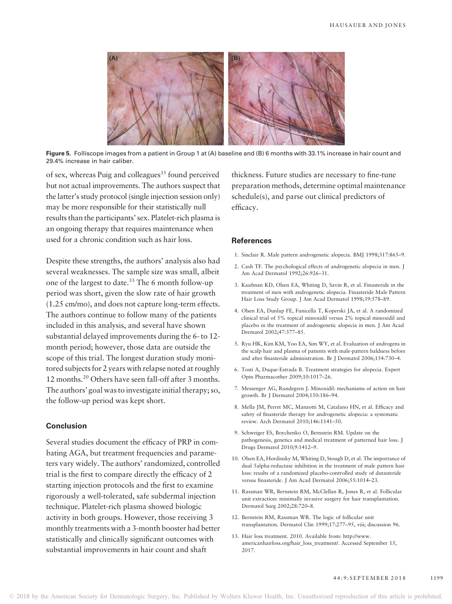

Figure 5. Folliscope images from a patient in Group 1 at (A) baseline and (B) 6 months with 33.1% increase in hair count and 29.4% increase in hair caliber.

of sex, whereas Puig and colleagues<sup>35</sup> found perceived but not actual improvements. The authors suspect that the latter's study protocol (single injection session only) may be more responsible for their statistically null results than the participants'sex. Platelet-rich plasma is an ongoing therapy that requires maintenance when used for a chronic condition such as hair loss.

Despite these strengths, the authors' analysis also had several weaknesses. The sample size was small, albeit one of the largest to date.<sup>33</sup> The 6 month follow-up period was short, given the slow rate of hair growth (1.25 cm/mo), and does not capture long-term effects. The authors continue to follow many of the patients included in this analysis, and several have shown substantial delayed improvements during the 6- to 12 month period; however, those data are outside the scope of this trial. The longest duration study monitored subjects for 2 years with relapse noted at roughly 12 months.<sup>20</sup> Others have seen fall-off after 3 months. The authors' goal was to investigate initial therapy; so, the follow-up period was kept short.

## Conclusion

Several studies document the efficacy of PRP in combating AGA, but treatment frequencies and parameters vary widely. The authors' randomized, controlled trial is the first to compare directly the efficacy of 2 starting injection protocols and the first to examine rigorously a well-tolerated, safe subdermal injection technique. Platelet-rich plasma showed biologic activity in both groups. However, those receiving 3 monthly treatments with a 3-month booster had better statistically and clinically significant outcomes with substantial improvements in hair count and shaft

thickness. Future studies are necessary to fine-tune preparation methods, determine optimal maintenance schedule(s), and parse out clinical predictors of efficacy.

#### **References**

- 1. Sinclair R. Male pattern androgenetic alopecia. BMJ 1998;317:865–9.
- 2. Cash TF. The psychological effects of androgenetic alopecia in men. J Am Acad Dermatol 1992;26:926–31.
- 3. Kaufman KD, Olsen EA, Whiting D, Savin R, et al. Finasteride in the treatment of men with androgenetic alopecia. Finasteride Male Pattern Hair Loss Study Group. J Am Acad Dermatol 1998;39:578–89.
- 4. Olsen EA, Dunlap FE, Funicella T, Koperski JA, et al. A randomized clinical trial of 5% topical minoxidil versus 2% topical minoxidil and placebo in the treatment of androgenetic alopecia in men. J Am Acad Dermatol 2002;47:377–85.
- 5. Ryu HK, Kim KM, Yoo EA, Sim WY, et al. Evaluation of androgens in the scalp hair and plasma of patients with male-pattern baldness before and after finasteride administration. Br J Dermatol 2006;154:730–4.
- 6. Tosti A, Duque-Estrada B. Treatment strategies for alopecia. Expert Opin Pharmacother 2009;10:1017–26.
- 7. Messenger AG, Rundegren J. Minoxidil: mechanisms of action on hair growth. Br J Dermatol 2004;150:186–94.
- 8. Mella JM, Perret MC, Manzotti M, Catalano HN, et al. Efficacy and safety of finasteride therapy for androgenetic alopecia: a systematic review. Arch Dermatol 2010;146:1141–50.
- 9. Schweiger ES, Boychenko O, Bernstein RM. Update on the pathogenesis, genetics and medical treatment of patterned hair loss. J Drugs Dermatol 2010;9:1412–9.
- 10. Olsen EA, Hordinsky M, Whiting D, Stough D, et al. The importance of dual 5alpha-reductase inhibition in the treatment of male pattern hair loss: results of a randomized placebo-controlled study of dutasteride versus finasteride. J Am Acad Dermatol 2006;55:1014–23.
- 11. Rassman WR, Bernstein RM, McClellan R, Jones R, et al. Follicular unit extraction: minimally invasive surgery for hair transplantation. Dermatol Surg 2002;28:720–8.
- 12. Bernstein RM, Rassman WR. The logic of follicular unit transplantation. Dermatol Clin 1999;17:277–95, viii; discussion 96.
- 13. Hair loss treatment. 2010. Available from: http://www. americanhairloss.org/hair\_loss\_treatment/. Accessed September 15, 2017.